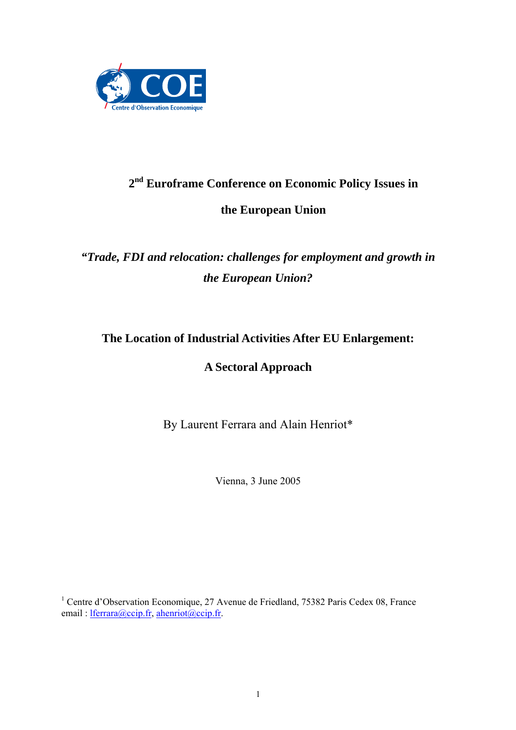

# **2nd Euroframe Conference on Economic Policy Issues in the European Union**

# *"Trade, FDI and relocation: challenges for employment and growth in the European Union?*

# **The Location of Industrial Activities After EU Enlargement:**

# **A Sectoral Approach**

By Laurent Ferrara and Alain Henriot\*

Vienna, 3 June 2005

<sup>1</sup> Centre d'Observation Economique, 27 Avenue de Friedland, 75382 Paris Cedex 08, France email : lferrara@ccip.fr, ahenriot@ccip.fr.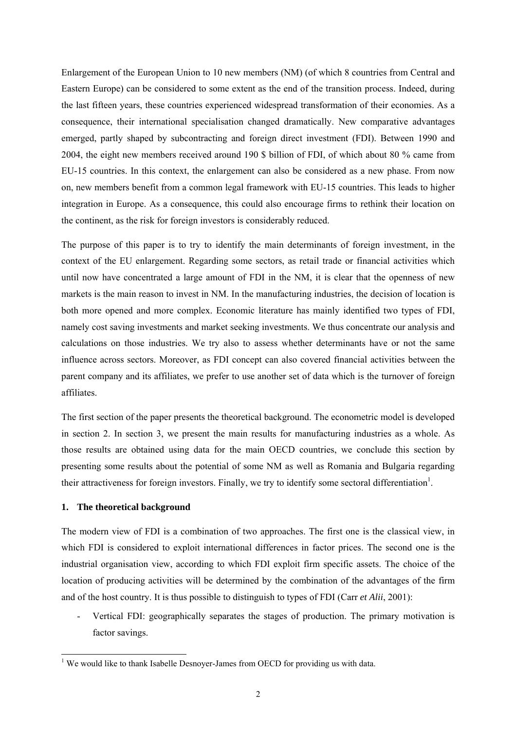Enlargement of the European Union to 10 new members (NM) (of which 8 countries from Central and Eastern Europe) can be considered to some extent as the end of the transition process. Indeed, during the last fifteen years, these countries experienced widespread transformation of their economies. As a consequence, their international specialisation changed dramatically. New comparative advantages emerged, partly shaped by subcontracting and foreign direct investment (FDI). Between 1990 and 2004, the eight new members received around 190 \$ billion of FDI, of which about 80 % came from EU-15 countries. In this context, the enlargement can also be considered as a new phase. From now on, new members benefit from a common legal framework with EU-15 countries. This leads to higher integration in Europe. As a consequence, this could also encourage firms to rethink their location on the continent, as the risk for foreign investors is considerably reduced.

The purpose of this paper is to try to identify the main determinants of foreign investment, in the context of the EU enlargement. Regarding some sectors, as retail trade or financial activities which until now have concentrated a large amount of FDI in the NM, it is clear that the openness of new markets is the main reason to invest in NM. In the manufacturing industries, the decision of location is both more opened and more complex. Economic literature has mainly identified two types of FDI, namely cost saving investments and market seeking investments. We thus concentrate our analysis and calculations on those industries. We try also to assess whether determinants have or not the same influence across sectors. Moreover, as FDI concept can also covered financial activities between the parent company and its affiliates, we prefer to use another set of data which is the turnover of foreign affiliates.

The first section of the paper presents the theoretical background. The econometric model is developed in section 2. In section 3, we present the main results for manufacturing industries as a whole. As those results are obtained using data for the main OECD countries, we conclude this section by presenting some results about the potential of some NM as well as Romania and Bulgaria regarding their attractiveness for foreign investors. Finally, we try to identify some sectoral differentiation<sup>1</sup>.

### **1. The theoretical background**

The modern view of FDI is a combination of two approaches. The first one is the classical view, in which FDI is considered to exploit international differences in factor prices. The second one is the industrial organisation view, according to which FDI exploit firm specific assets. The choice of the location of producing activities will be determined by the combination of the advantages of the firm and of the host country. It is thus possible to distinguish to types of FDI (Carr *et Alii*, 2001):

Vertical FDI: geographically separates the stages of production. The primary motivation is factor savings.

<sup>&</sup>lt;sup>1</sup> We would like to thank Isabelle Desnoyer-James from OECD for providing us with data.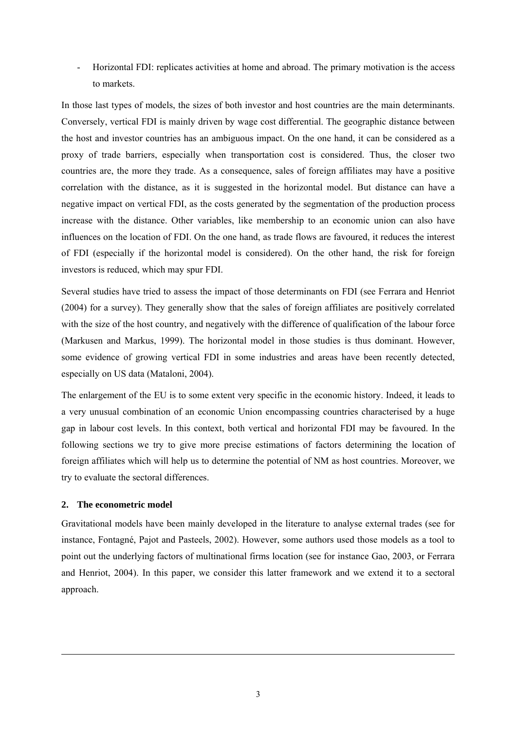- Horizontal FDI: replicates activities at home and abroad. The primary motivation is the access to markets.

In those last types of models, the sizes of both investor and host countries are the main determinants. Conversely, vertical FDI is mainly driven by wage cost differential. The geographic distance between the host and investor countries has an ambiguous impact. On the one hand, it can be considered as a proxy of trade barriers, especially when transportation cost is considered. Thus, the closer two countries are, the more they trade. As a consequence, sales of foreign affiliates may have a positive correlation with the distance, as it is suggested in the horizontal model. But distance can have a negative impact on vertical FDI, as the costs generated by the segmentation of the production process increase with the distance. Other variables, like membership to an economic union can also have influences on the location of FDI. On the one hand, as trade flows are favoured, it reduces the interest of FDI (especially if the horizontal model is considered). On the other hand, the risk for foreign investors is reduced, which may spur FDI.

Several studies have tried to assess the impact of those determinants on FDI (see Ferrara and Henriot (2004) for a survey). They generally show that the sales of foreign affiliates are positively correlated with the size of the host country, and negatively with the difference of qualification of the labour force (Markusen and Markus, 1999). The horizontal model in those studies is thus dominant. However, some evidence of growing vertical FDI in some industries and areas have been recently detected, especially on US data (Mataloni, 2004).

The enlargement of the EU is to some extent very specific in the economic history. Indeed, it leads to a very unusual combination of an economic Union encompassing countries characterised by a huge gap in labour cost levels. In this context, both vertical and horizontal FDI may be favoured. In the following sections we try to give more precise estimations of factors determining the location of foreign affiliates which will help us to determine the potential of NM as host countries. Moreover, we try to evaluate the sectoral differences.

## **2. The econometric model**

-

Gravitational models have been mainly developed in the literature to analyse external trades (see for instance, Fontagné, Pajot and Pasteels, 2002). However, some authors used those models as a tool to point out the underlying factors of multinational firms location (see for instance Gao, 2003, or Ferrara and Henriot, 2004). In this paper, we consider this latter framework and we extend it to a sectoral approach.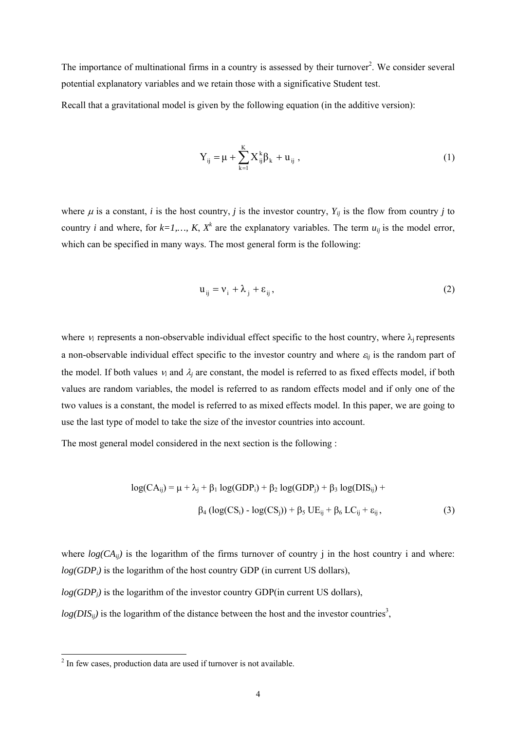The importance of multinational firms in a country is assessed by their turnover<sup>2</sup>. We consider several potential explanatory variables and we retain those with a significative Student test.

Recall that a gravitational model is given by the following equation (in the additive version):

$$
Y_{ij} = \mu + \sum_{k=1}^{K} X_{ij}^{k} \beta_k + u_{ij} ,
$$
 (1)

where  $\mu$  is a constant, *i* is the host country, *j* is the investor country,  $Y_{ij}$  is the flow from country *j* to country *i* and where, for  $k=1,..., K$ ,  $X^k$  are the explanatory variables. The term  $u_{ij}$  is the model error, which can be specified in many ways. The most general form is the following:

$$
\mathbf{u}_{ij} = \mathbf{v}_i + \lambda_j + \varepsilon_{ij},\tag{2}
$$

where  $v_i$  represents a non-observable individual effect specific to the host country, where  $\lambda_i$  represents a non-observable individual effect specific to the investor country and where  $\varepsilon_{ij}$  is the random part of the model. If both values  $v_i$  and  $\lambda_i$  are constant, the model is referred to as fixed effects model, if both values are random variables, the model is referred to as random effects model and if only one of the two values is a constant, the model is referred to as mixed effects model. In this paper, we are going to use the last type of model to take the size of the investor countries into account.

The most general model considered in the next section is the following :

$$
log(CA_{ij}) = \mu + \lambda_j + \beta_1 log(GDP_i) + \beta_2 log(GDP_j) + \beta_3 log(DIS_{ij}) +
$$
  
 
$$
\beta_4 (log(CS_i) - log(CS_j)) + \beta_5 UE_{ij} + \beta_6 LC_{ij} + \varepsilon_{ij},
$$
 (3)

where  $log(CA_{ii})$  is the logarithm of the firms turnover of country j in the host country i and where:  $log(GDP<sub>i</sub>)$  is the logarithm of the host country GDP (in current US dollars),

*log(GDP<sub>i</sub>)* is the logarithm of the investor country GDP(in current US dollars),

 $log(DIS_{ij})$  is the logarithm of the distance between the host and the investor countries<sup>3</sup>,

<sup>&</sup>lt;sup>2</sup> In few cases, production data are used if turnover is not available.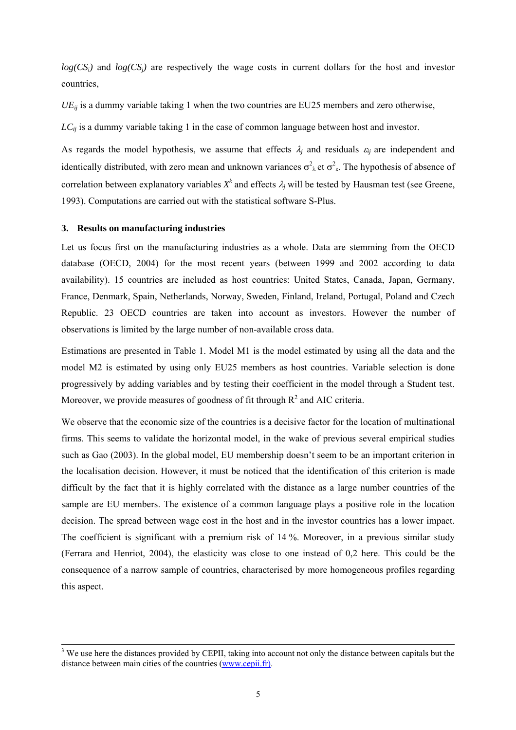$log(CS_i)$  and  $log(CS_i)$  are respectively the wage costs in current dollars for the host and investor countries,

 $UE_{ij}$  is a dummy variable taking 1 when the two countries are EU25 members and zero otherwise,

*LC<sub>ij</sub>* is a dummy variable taking 1 in the case of common language between host and investor.

As regards the model hypothesis, we assume that effects  $\lambda_i$  and residuals  $\varepsilon_i$  are independent and identically distributed, with zero mean and unknown variances  $\sigma^2_{\lambda}$  et  $\sigma^2_{\epsilon}$ . The hypothesis of absence of correlation between explanatory variables  $X^k$  and effects  $\lambda_j$  will be tested by Hausman test (see Greene, 1993). Computations are carried out with the statistical software S-Plus.

#### **3. Results on manufacturing industries**

Let us focus first on the manufacturing industries as a whole. Data are stemming from the OECD database (OECD, 2004) for the most recent years (between 1999 and 2002 according to data availability). 15 countries are included as host countries: United States, Canada, Japan, Germany, France, Denmark, Spain, Netherlands, Norway, Sweden, Finland, Ireland, Portugal, Poland and Czech Republic. 23 OECD countries are taken into account as investors. However the number of observations is limited by the large number of non-available cross data.

Estimations are presented in Table 1. Model M1 is the model estimated by using all the data and the model M2 is estimated by using only EU25 members as host countries. Variable selection is done progressively by adding variables and by testing their coefficient in the model through a Student test. Moreover, we provide measures of goodness of fit through  $R<sup>2</sup>$  and AIC criteria.

We observe that the economic size of the countries is a decisive factor for the location of multinational firms. This seems to validate the horizontal model, in the wake of previous several empirical studies such as Gao (2003). In the global model, EU membership doesn't seem to be an important criterion in the localisation decision. However, it must be noticed that the identification of this criterion is made difficult by the fact that it is highly correlated with the distance as a large number countries of the sample are EU members. The existence of a common language plays a positive role in the location decision. The spread between wage cost in the host and in the investor countries has a lower impact. The coefficient is significant with a premium risk of 14 %. Moreover, in a previous similar study (Ferrara and Henriot, 2004), the elasticity was close to one instead of 0,2 here. This could be the consequence of a narrow sample of countries, characterised by more homogeneous profiles regarding this aspect.

 $\frac{1}{3}$ <sup>3</sup> We use here the distances provided by CEPII, taking into account not only the distance between capitals but the distance between main cities of the countries (www.cepii.fr).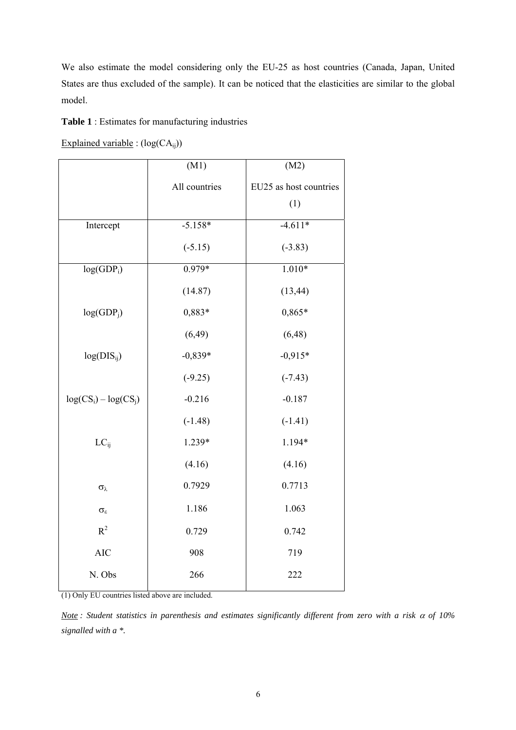We also estimate the model considering only the EU-25 as host countries (Canada, Japan, United States are thus excluded of the sample). It can be noticed that the elasticities are similar to the global model.

**Table 1** : Estimates for manufacturing industries

Explained variable :  $(log(CA_{ij}))$ 

|                         | (M1)          | (M2)                   |
|-------------------------|---------------|------------------------|
|                         | All countries | EU25 as host countries |
|                         |               | (1)                    |
| Intercept               | $-5.158*$     | $-4.611*$              |
|                         | $(-5.15)$     | $(-3.83)$              |
| log(GDP <sub>i</sub> )  | $0.979*$      | $1.010*$               |
|                         | (14.87)       | (13, 44)               |
| log(GDP <sub>j</sub> )  | 0,883*        | 0,865*                 |
|                         | (6, 49)       | (6, 48)                |
| $log(DIS_{ij})$         | $-0,839*$     | $-0,915*$              |
|                         | $(-9.25)$     | $(-7.43)$              |
| $log(CS_i) - log(CS_i)$ | $-0.216$      | $-0.187$               |
|                         | $(-1.48)$     | $(-1.41)$              |
| $LC_{ii}$               | 1.239*        | 1.194*                 |
|                         | (4.16)        | (4.16)                 |
| $\sigma_{\lambda}$      | 0.7929        | 0.7713                 |
| $\sigma_\epsilon$       | 1.186         | 1.063                  |
| $R^2$                   | 0.729         | 0.742                  |
| <b>AIC</b>              | 908           | 719                    |
| N. Obs                  | 266           | 222                    |

(1) Only EU countries listed above are included.

*Note : Student statistics in parenthesis and estimates significantly different from zero with a risk* α *of 10% signalled with a \*.*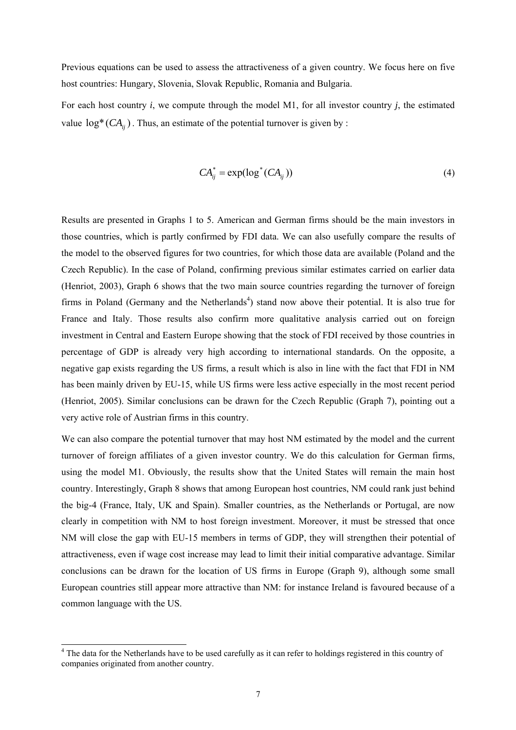Previous equations can be used to assess the attractiveness of a given country. We focus here on five host countries: Hungary, Slovenia, Slovak Republic, Romania and Bulgaria.

For each host country *i*, we compute through the model M1, for all investor country *j*, the estimated value  $log^*(CA_{ii})$ . Thus, an estimate of the potential turnover is given by :

$$
CA_{ij}^* = \exp(\log^*(CA_{ij}))\tag{4}
$$

Results are presented in Graphs 1 to 5. American and German firms should be the main investors in those countries, which is partly confirmed by FDI data. We can also usefully compare the results of the model to the observed figures for two countries, for which those data are available (Poland and the Czech Republic). In the case of Poland, confirming previous similar estimates carried on earlier data (Henriot, 2003), Graph 6 shows that the two main source countries regarding the turnover of foreign firms in Poland (Germany and the Netherlands<sup>4</sup>) stand now above their potential. It is also true for France and Italy. Those results also confirm more qualitative analysis carried out on foreign investment in Central and Eastern Europe showing that the stock of FDI received by those countries in percentage of GDP is already very high according to international standards. On the opposite, a negative gap exists regarding the US firms, a result which is also in line with the fact that FDI in NM has been mainly driven by EU-15, while US firms were less active especially in the most recent period (Henriot, 2005). Similar conclusions can be drawn for the Czech Republic (Graph 7), pointing out a very active role of Austrian firms in this country.

We can also compare the potential turnover that may host NM estimated by the model and the current turnover of foreign affiliates of a given investor country. We do this calculation for German firms, using the model M1. Obviously, the results show that the United States will remain the main host country. Interestingly, Graph 8 shows that among European host countries, NM could rank just behind the big-4 (France, Italy, UK and Spain). Smaller countries, as the Netherlands or Portugal, are now clearly in competition with NM to host foreign investment. Moreover, it must be stressed that once NM will close the gap with EU-15 members in terms of GDP, they will strengthen their potential of attractiveness, even if wage cost increase may lead to limit their initial comparative advantage. Similar conclusions can be drawn for the location of US firms in Europe (Graph 9), although some small European countries still appear more attractive than NM: for instance Ireland is favoured because of a common language with the US.

-

<sup>&</sup>lt;sup>4</sup> The data for the Netherlands have to be used carefully as it can refer to holdings registered in this country of companies originated from another country.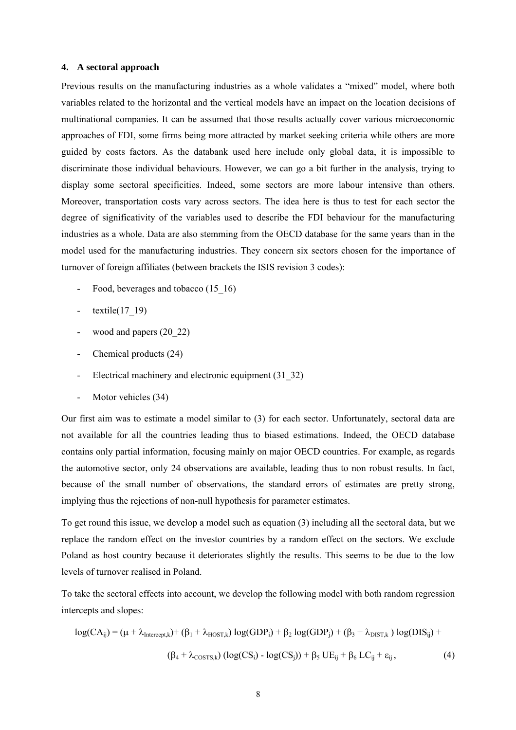#### **4. A sectoral approach**

Previous results on the manufacturing industries as a whole validates a "mixed" model, where both variables related to the horizontal and the vertical models have an impact on the location decisions of multinational companies. It can be assumed that those results actually cover various microeconomic approaches of FDI, some firms being more attracted by market seeking criteria while others are more guided by costs factors. As the databank used here include only global data, it is impossible to discriminate those individual behaviours. However, we can go a bit further in the analysis, trying to display some sectoral specificities. Indeed, some sectors are more labour intensive than others. Moreover, transportation costs vary across sectors. The idea here is thus to test for each sector the degree of significativity of the variables used to describe the FDI behaviour for the manufacturing industries as a whole. Data are also stemming from the OECD database for the same years than in the model used for the manufacturing industries. They concern six sectors chosen for the importance of turnover of foreign affiliates (between brackets the ISIS revision 3 codes):

- Food, beverages and tobacco (15–16)
- $-$  textile(17\_19)
- wood and papers (20\_22)
- Chemical products (24)
- Electrical machinery and electronic equipment (31–32)
- Motor vehicles (34)

Our first aim was to estimate a model similar to (3) for each sector. Unfortunately, sectoral data are not available for all the countries leading thus to biased estimations. Indeed, the OECD database contains only partial information, focusing mainly on major OECD countries. For example, as regards the automotive sector, only 24 observations are available, leading thus to non robust results. In fact, because of the small number of observations, the standard errors of estimates are pretty strong, implying thus the rejections of non-null hypothesis for parameter estimates.

To get round this issue, we develop a model such as equation (3) including all the sectoral data, but we replace the random effect on the investor countries by a random effect on the sectors. We exclude Poland as host country because it deteriorates slightly the results. This seems to be due to the low levels of turnover realised in Poland.

To take the sectoral effects into account, we develop the following model with both random regression intercepts and slopes:

$$
log(CA_{ij}) = (\mu + \lambda_{Intercept,k}) + (\beta_1 + \lambda_{HOST,k}) log(GDP_i) + \beta_2 log(GDP_j) + (\beta_3 + \lambda_{DIST,k}) log(DIS_{ij}) +
$$
  

$$
(\beta_4 + \lambda_{COSTS,k}) (log(CS_i) - log(CS_j)) + \beta_5 UE_{ij} + \beta_6 LC_{ij} + \epsilon_{ij},
$$
 (4)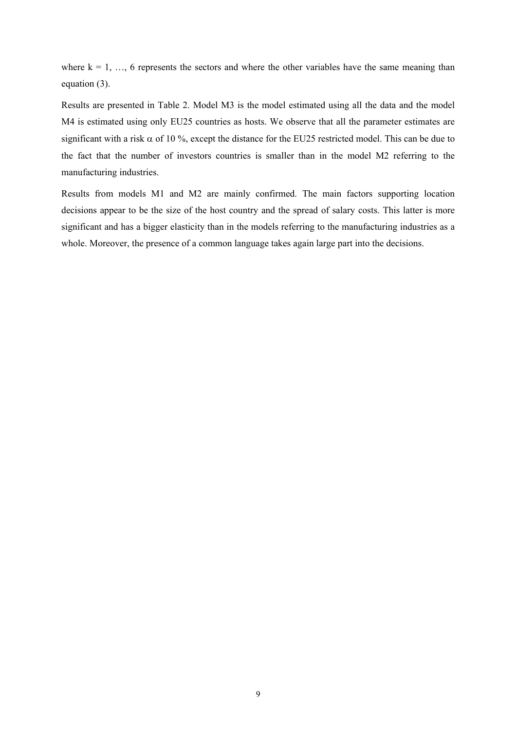where  $k = 1, \ldots, 6$  represents the sectors and where the other variables have the same meaning than equation (3).

Results are presented in Table 2. Model M3 is the model estimated using all the data and the model M4 is estimated using only EU25 countries as hosts. We observe that all the parameter estimates are significant with a risk  $\alpha$  of 10 %, except the distance for the EU25 restricted model. This can be due to the fact that the number of investors countries is smaller than in the model M2 referring to the manufacturing industries.

Results from models M1 and M2 are mainly confirmed. The main factors supporting location decisions appear to be the size of the host country and the spread of salary costs. This latter is more significant and has a bigger elasticity than in the models referring to the manufacturing industries as a whole. Moreover, the presence of a common language takes again large part into the decisions.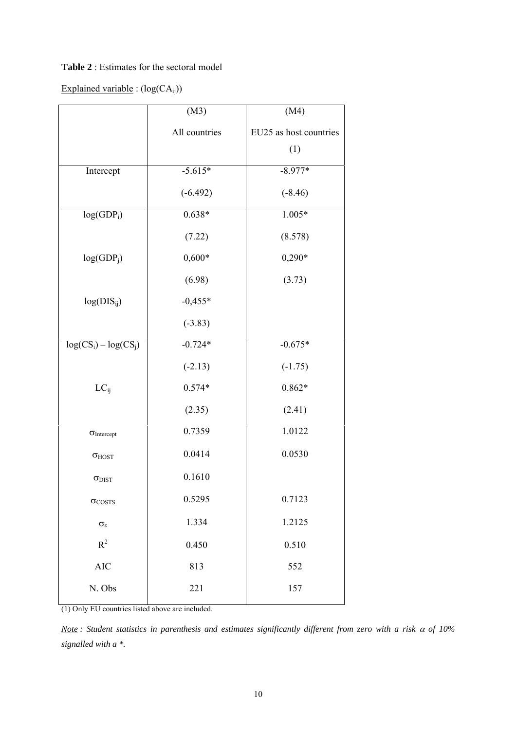## **Table 2** : Estimates for the sectoral model

# Explained variable :  $(log(CA_{ij}))$

|                         | (M3)          | (M4)                   |
|-------------------------|---------------|------------------------|
|                         | All countries | EU25 as host countries |
|                         |               | (1)                    |
| Intercept               | $-5.615*$     | $-8.977*$              |
|                         | $(-6.492)$    | $(-8.46)$              |
| $log(GDP_i)$            | $0.638*$      | $1.005*$               |
|                         | (7.22)        | (8.578)                |
| log(GDP <sub>j</sub> )  | $0,600*$      | $0,290*$               |
|                         | (6.98)        | (3.73)                 |
| $log(DIS_{ij})$         | $-0,455*$     |                        |
|                         | $(-3.83)$     |                        |
| $log(CS_i) - log(CS_j)$ | $-0.724*$     | $-0.675*$              |
|                         | $(-2.13)$     | $(-1.75)$              |
| $LC_{ii}$               | $0.574*$      | $0.862*$               |
|                         | (2.35)        | (2.41)                 |
| $\sigma$ Intercept      | 0.7359        | 1.0122                 |
| $\sigma_{\rm HOST}$     | 0.0414        | 0.0530                 |
| $\sigma_{\rm DIST}$     | 0.1610        |                        |
| $\sigma_{\text{COSTS}}$ | 0.5295        | 0.7123                 |
| $\sigma_\epsilon$       | 1.334         | 1.2125                 |
| $R^2$                   | 0.450         | 0.510                  |
| <b>AIC</b>              | 813           | 552                    |
| N. Obs                  | 221           | 157                    |

(1) Only EU countries listed above are included.

*Note : Student statistics in parenthesis and estimates significantly different from zero with a risk* α *of 10% signalled with a \*.*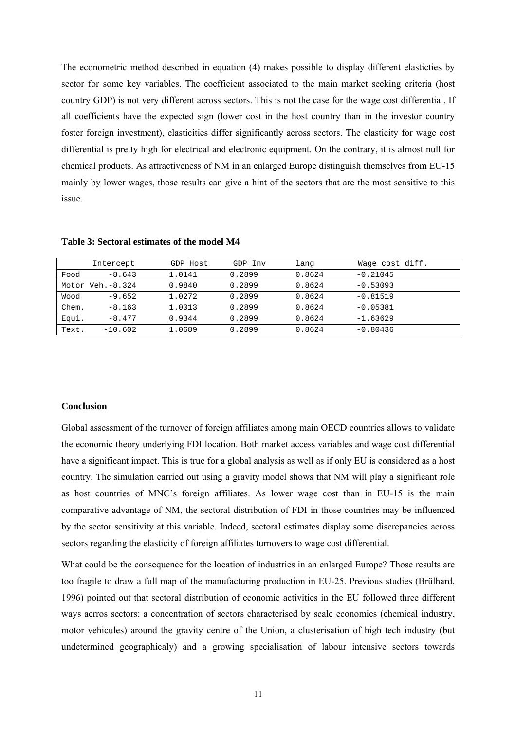The econometric method described in equation (4) makes possible to display different elasticties by sector for some key variables. The coefficient associated to the main market seeking criteria (host country GDP) is not very different across sectors. This is not the case for the wage cost differential. If all coefficients have the expected sign (lower cost in the host country than in the investor country foster foreign investment), elasticities differ significantly across sectors. The elasticity for wage cost differential is pretty high for electrical and electronic equipment. On the contrary, it is almost null for chemical products. As attractiveness of NM in an enlarged Europe distinguish themselves from EU-15 mainly by lower wages, those results can give a hint of the sectors that are the most sensitive to this issue.

|       | Intercept        | GDP Host | GDP Inv | lang   | Waqe cost diff. |
|-------|------------------|----------|---------|--------|-----------------|
| Food  | $-8.643$         | 1.0141   | 0.2899  | 0.8624 | $-0.21045$      |
|       | Motor Veh.-8.324 | 0.9840   | 0.2899  | 0.8624 | $-0.53093$      |
| Wood  | $-9.652$         | 1.0272   | 0.2899  | 0.8624 | $-0.81519$      |
| Chem. | $-8.163$         | 1.0013   | 0.2899  | 0.8624 | $-0.05381$      |
| Equi. | $-8.477$         | 0.9344   | 0.2899  | 0.8624 | $-1.63629$      |
| Text. | $-10.602$        | 1.0689   | 0.2899  | 0.8624 | $-0.80436$      |

**Table 3: Sectoral estimates of the model M4**

#### **Conclusion**

Global assessment of the turnover of foreign affiliates among main OECD countries allows to validate the economic theory underlying FDI location. Both market access variables and wage cost differential have a significant impact. This is true for a global analysis as well as if only EU is considered as a host country. The simulation carried out using a gravity model shows that NM will play a significant role as host countries of MNC's foreign affiliates. As lower wage cost than in EU-15 is the main comparative advantage of NM, the sectoral distribution of FDI in those countries may be influenced by the sector sensitivity at this variable. Indeed, sectoral estimates display some discrepancies across sectors regarding the elasticity of foreign affiliates turnovers to wage cost differential.

What could be the consequence for the location of industries in an enlarged Europe? Those results are too fragile to draw a full map of the manufacturing production in EU-25. Previous studies (Brülhard, 1996) pointed out that sectoral distribution of economic activities in the EU followed three different ways acrros sectors: a concentration of sectors characterised by scale economies (chemical industry, motor vehicules) around the gravity centre of the Union, a clusterisation of high tech industry (but undetermined geographicaly) and a growing specialisation of labour intensive sectors towards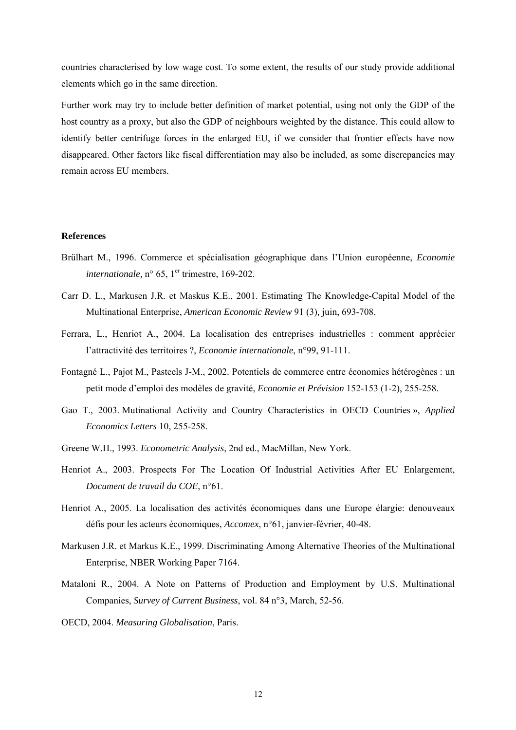countries characterised by low wage cost. To some extent, the results of our study provide additional elements which go in the same direction.

Further work may try to include better definition of market potential, using not only the GDP of the host country as a proxy, but also the GDP of neighbours weighted by the distance. This could allow to identify better centrifuge forces in the enlarged EU, if we consider that frontier effects have now disappeared. Other factors like fiscal differentiation may also be included, as some discrepancies may remain across EU members.

#### **References**

- Brülhart M., 1996. Commerce et spécialisation géographique dans l'Union européenne, *Economie internationale,*  $n^{\circ}$  65, 1<sup>er</sup> trimestre, 169-202.
- Carr D. L., Markusen J.R. et Maskus K.E., 2001. Estimating The Knowledge-Capital Model of the Multinational Enterprise, *American Economic Review* 91 (3)*,* juin, 693-708.
- Ferrara, L., Henriot A., 2004. La localisation des entreprises industrielles : comment apprécier l'attractivité des territoires ?, *Economie internationale*, n°99, 91-111.
- Fontagné L., Pajot M., Pasteels J-M., 2002. Potentiels de commerce entre économies hétérogènes : un petit mode d'emploi des modèles de gravité, *Economie et Prévision* 152-153 (1-2), 255-258.
- Gao T., 2003. Mutinational Activity and Country Characteristics in OECD Countries », *Applied Economics Letters* 10, 255-258.
- Greene W.H., 1993. *Econometric Analysis*, 2nd ed., MacMillan, New York.
- Henriot A., 2003. Prospects For The Location Of Industrial Activities After EU Enlargement, *Document de travail du COE*, n°61.
- Henriot A., 2005. La localisation des activités économiques dans une Europe élargie: denouveaux défis pour les acteurs économiques, *Accomex*, n°61, janvier-février, 40-48.
- Markusen J.R. et Markus K.E., 1999. Discriminating Among Alternative Theories of the Multinational Enterprise, NBER Working Paper 7164.
- Mataloni R., 2004. A Note on Patterns of Production and Employment by U.S. Multinational Companies, *Survey of Current Business*, vol. 84 n°3, March, 52-56.
- OECD, 2004. *Measuring Globalisation*, Paris.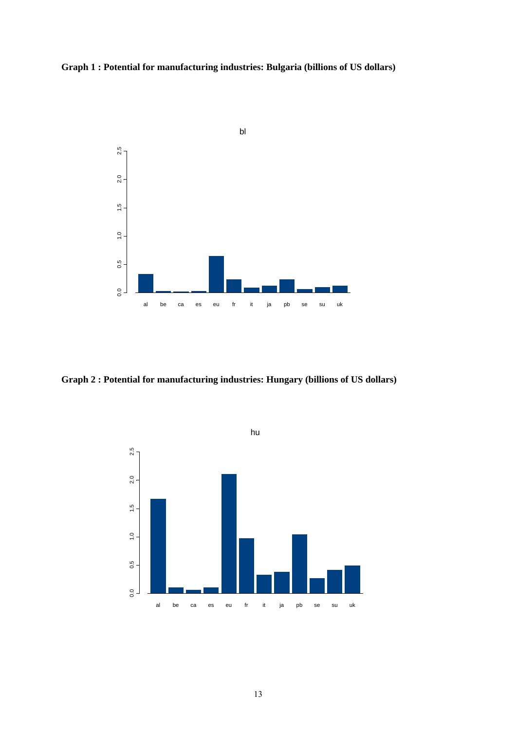



**Graph 2 : Potential for manufacturing industries: Hungary (billions of US dollars)**

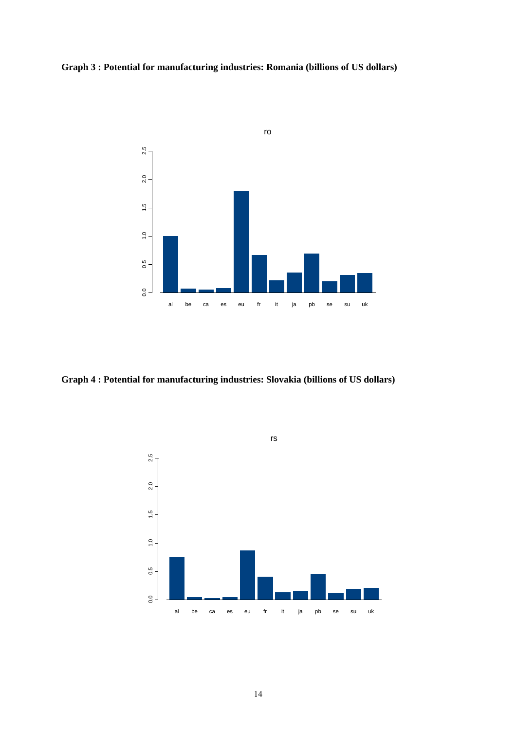### **Graph 3 : Potential for manufacturing industries: Romania (billions of US dollars)**



**Graph 4 : Potential for manufacturing industries: Slovakia (billions of US dollars)**

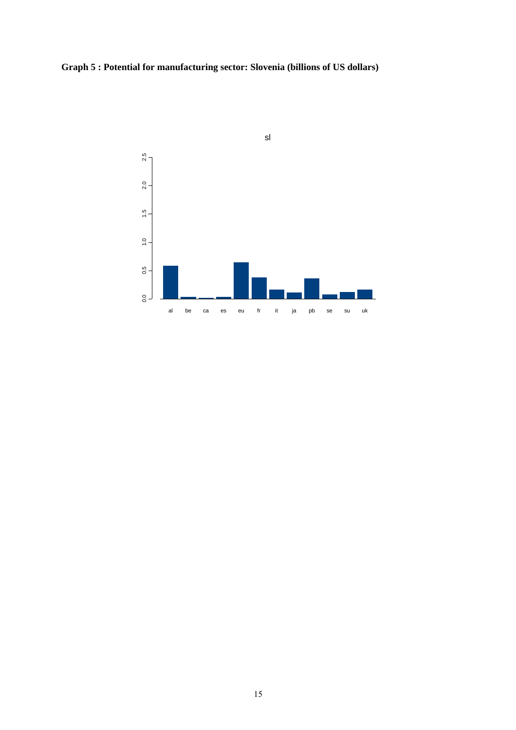**Graph 5 : Potential for manufacturing sector: Slovenia (billions of US dollars)**

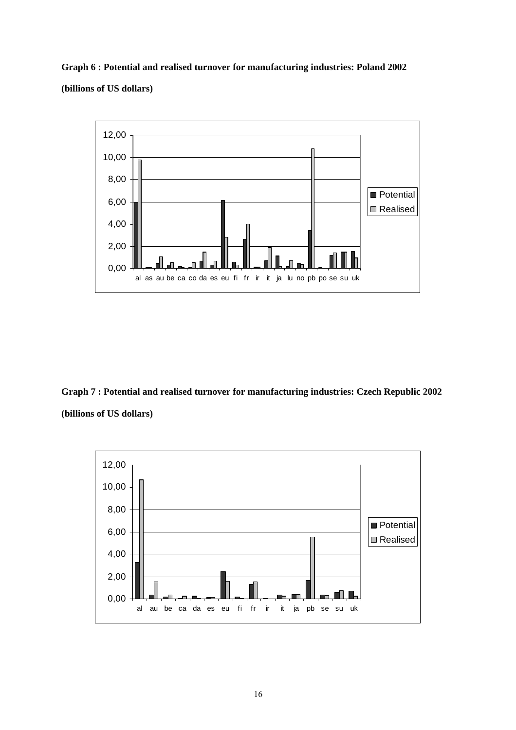**Graph 6 : Potential and realised turnover for manufacturing industries: Poland 2002 (billions of US dollars)**



**Graph 7 : Potential and realised turnover for manufacturing industries: Czech Republic 2002 (billions of US dollars)**

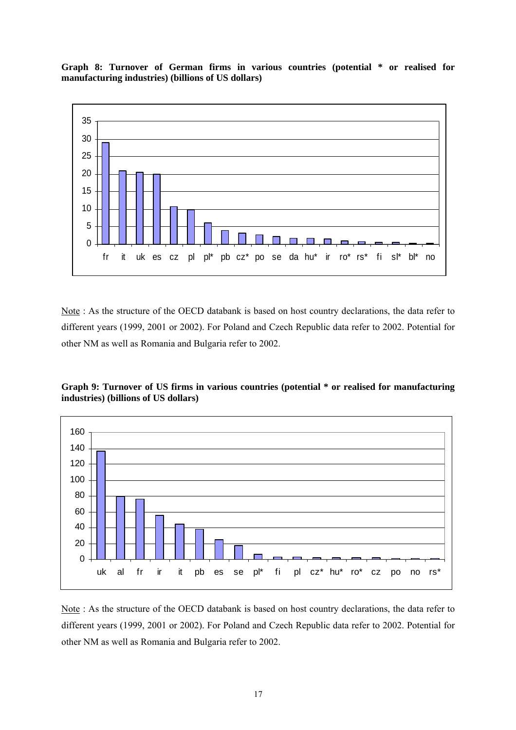**Graph 8: Turnover of German firms in various countries (potential \* or realised for manufacturing industries) (billions of US dollars)**



Note : As the structure of the OECD databank is based on host country declarations, the data refer to different years (1999, 2001 or 2002). For Poland and Czech Republic data refer to 2002. Potential for other NM as well as Romania and Bulgaria refer to 2002.

**Graph 9: Turnover of US firms in various countries (potential \* or realised for manufacturing industries) (billions of US dollars)**



Note : As the structure of the OECD databank is based on host country declarations, the data refer to different years (1999, 2001 or 2002). For Poland and Czech Republic data refer to 2002. Potential for other NM as well as Romania and Bulgaria refer to 2002.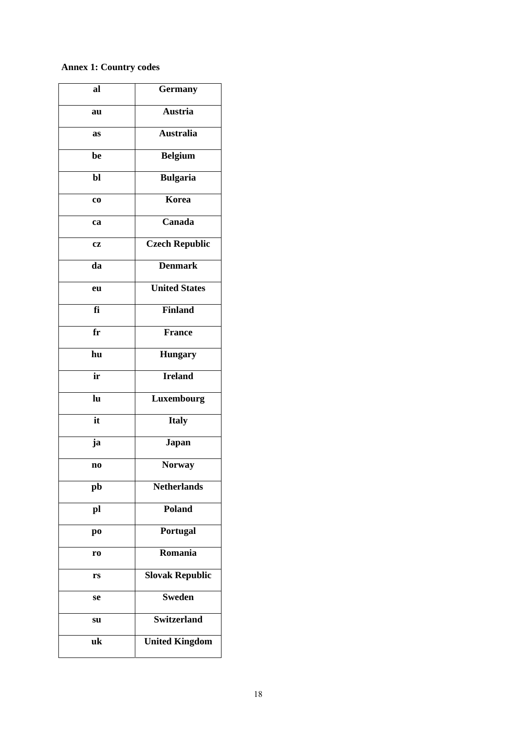# **Annex 1: Country codes**

| al             | <b>Germany</b>         |  |
|----------------|------------------------|--|
| au             | <b>Austria</b>         |  |
| as             | <b>Australia</b>       |  |
| be             | <b>Belgium</b>         |  |
| bl             | <b>Bulgaria</b>        |  |
| CO             | Korea                  |  |
| ca             | Canada                 |  |
| <b>CZ</b>      | <b>Czech Republic</b>  |  |
| da             | <b>Denmark</b>         |  |
| eu             | <b>United States</b>   |  |
| fi             | <b>Finland</b>         |  |
| $f_{\rm r}$    | <b>France</b>          |  |
| hu             | <b>Hungary</b>         |  |
| ir             | <b>Ireland</b>         |  |
| lu             | Luxembourg             |  |
| it             | <b>Italy</b>           |  |
| ja             | Japan                  |  |
| n <sub>0</sub> | <b>Norway</b>          |  |
| pb             | <b>Netherlands</b>     |  |
| pl             | <b>Poland</b>          |  |
| po             | Portugal               |  |
| r <sub>0</sub> | Romania                |  |
| rs             | <b>Slovak Republic</b> |  |
| se             | <b>Sweden</b>          |  |
| su             | <b>Switzerland</b>     |  |
| uk             |                        |  |